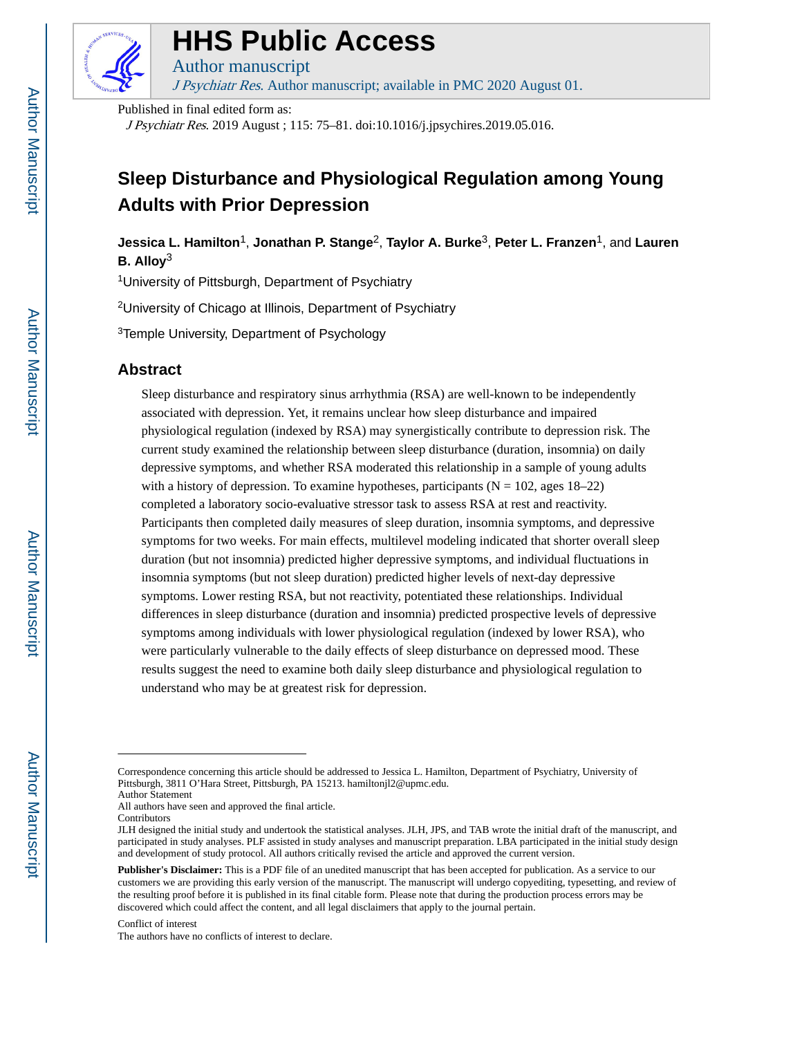

# **HHS Public Access**

Author manuscript J Psychiatr Res. Author manuscript; available in PMC 2020 August 01.

Published in final edited form as:

J Psychiatr Res. 2019 August ; 115: 75–81. doi:10.1016/j.jpsychires.2019.05.016.

## **Sleep Disturbance and Physiological Regulation among Young Adults with Prior Depression**

**Jessica L. Hamilton**1, **Jonathan P. Stange**2, **Taylor A. Burke**3, **Peter L. Franzen**1, and **Lauren B. Alloy**<sup>3</sup>

<sup>1</sup>University of Pittsburgh, Department of Psychiatry

<sup>2</sup>University of Chicago at Illinois, Department of Psychiatry

<sup>3</sup>Temple University, Department of Psychology

## **Abstract**

Sleep disturbance and respiratory sinus arrhythmia (RSA) are well-known to be independently associated with depression. Yet, it remains unclear how sleep disturbance and impaired physiological regulation (indexed by RSA) may synergistically contribute to depression risk. The current study examined the relationship between sleep disturbance (duration, insomnia) on daily depressive symptoms, and whether RSA moderated this relationship in a sample of young adults with a history of depression. To examine hypotheses, participants  $(N = 102, \text{ ages } 18-22)$ completed a laboratory socio-evaluative stressor task to assess RSA at rest and reactivity. Participants then completed daily measures of sleep duration, insomnia symptoms, and depressive symptoms for two weeks. For main effects, multilevel modeling indicated that shorter overall sleep duration (but not insomnia) predicted higher depressive symptoms, and individual fluctuations in insomnia symptoms (but not sleep duration) predicted higher levels of next-day depressive symptoms. Lower resting RSA, but not reactivity, potentiated these relationships. Individual differences in sleep disturbance (duration and insomnia) predicted prospective levels of depressive symptoms among individuals with lower physiological regulation (indexed by lower RSA), who were particularly vulnerable to the daily effects of sleep disturbance on depressed mood. These results suggest the need to examine both daily sleep disturbance and physiological regulation to understand who may be at greatest risk for depression.

Correspondence concerning this article should be addressed to Jessica L. Hamilton, Department of Psychiatry, University of Pittsburgh, 3811 O'Hara Street, Pittsburgh, PA 15213. hamiltonjl2@upmc.edu.

Author Statement

All authors have seen and approved the final article.

Contributors

JLH designed the initial study and undertook the statistical analyses. JLH, JPS, and TAB wrote the initial draft of the manuscript, and participated in study analyses. PLF assisted in study analyses and manuscript preparation. LBA participated in the initial study design and development of study protocol. All authors critically revised the article and approved the current version.

**Publisher's Disclaimer:** This is a PDF file of an unedited manuscript that has been accepted for publication. As a service to our customers we are providing this early version of the manuscript. The manuscript will undergo copyediting, typesetting, and review of the resulting proof before it is published in its final citable form. Please note that during the production process errors may be discovered which could affect the content, and all legal disclaimers that apply to the journal pertain.

Conflict of interest

The authors have no conflicts of interest to declare.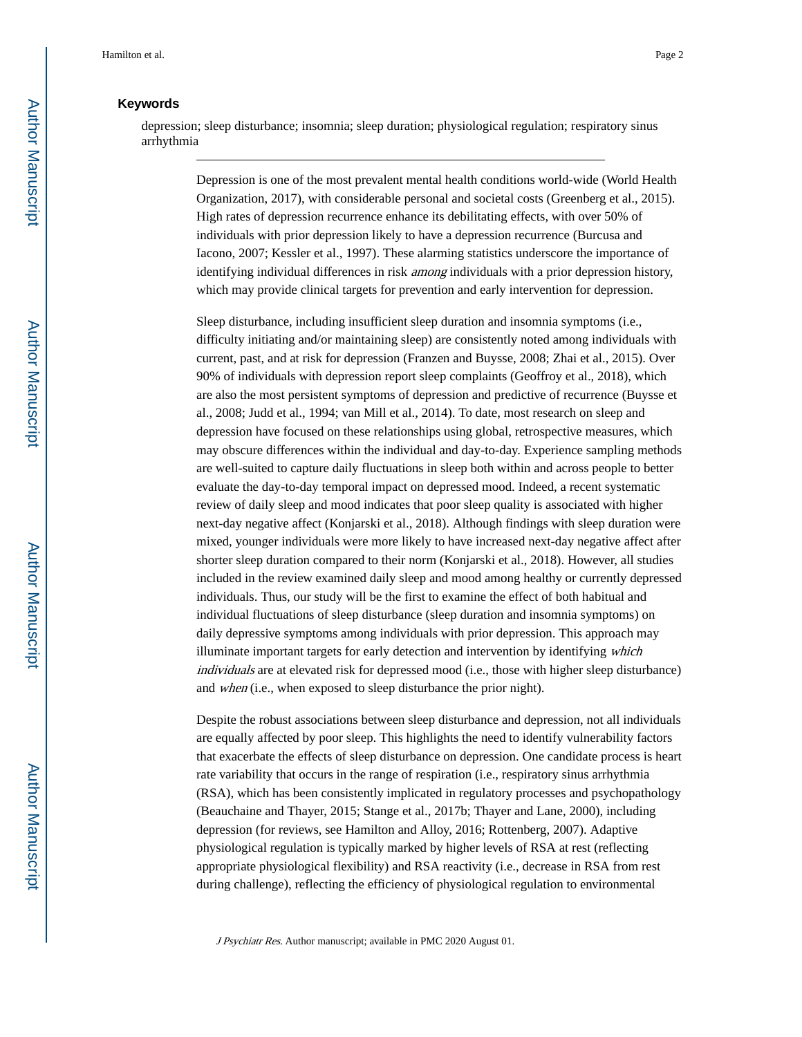#### **Keywords**

depression; sleep disturbance; insomnia; sleep duration; physiological regulation; respiratory sinus arrhythmia

> Depression is one of the most prevalent mental health conditions world-wide (World Health Organization, 2017), with considerable personal and societal costs (Greenberg et al., 2015). High rates of depression recurrence enhance its debilitating effects, with over 50% of individuals with prior depression likely to have a depression recurrence (Burcusa and Iacono, 2007; Kessler et al., 1997). These alarming statistics underscore the importance of identifying individual differences in risk among individuals with a prior depression history, which may provide clinical targets for prevention and early intervention for depression.

Sleep disturbance, including insufficient sleep duration and insomnia symptoms (i.e., difficulty initiating and/or maintaining sleep) are consistently noted among individuals with current, past, and at risk for depression (Franzen and Buysse, 2008; Zhai et al., 2015). Over 90% of individuals with depression report sleep complaints (Geoffroy et al., 2018), which are also the most persistent symptoms of depression and predictive of recurrence (Buysse et al., 2008; Judd et al., 1994; van Mill et al., 2014). To date, most research on sleep and depression have focused on these relationships using global, retrospective measures, which may obscure differences within the individual and day-to-day. Experience sampling methods are well-suited to capture daily fluctuations in sleep both within and across people to better evaluate the day-to-day temporal impact on depressed mood. Indeed, a recent systematic review of daily sleep and mood indicates that poor sleep quality is associated with higher next-day negative affect (Konjarski et al., 2018). Although findings with sleep duration were mixed, younger individuals were more likely to have increased next-day negative affect after shorter sleep duration compared to their norm (Konjarski et al., 2018). However, all studies included in the review examined daily sleep and mood among healthy or currently depressed individuals. Thus, our study will be the first to examine the effect of both habitual and individual fluctuations of sleep disturbance (sleep duration and insomnia symptoms) on daily depressive symptoms among individuals with prior depression. This approach may illuminate important targets for early detection and intervention by identifying which individuals are at elevated risk for depressed mood (i.e., those with higher sleep disturbance) and when (i.e., when exposed to sleep disturbance the prior night).

Despite the robust associations between sleep disturbance and depression, not all individuals are equally affected by poor sleep. This highlights the need to identify vulnerability factors that exacerbate the effects of sleep disturbance on depression. One candidate process is heart rate variability that occurs in the range of respiration (i.e., respiratory sinus arrhythmia (RSA), which has been consistently implicated in regulatory processes and psychopathology (Beauchaine and Thayer, 2015; Stange et al., 2017b; Thayer and Lane, 2000), including depression (for reviews, see Hamilton and Alloy, 2016; Rottenberg, 2007). Adaptive physiological regulation is typically marked by higher levels of RSA at rest (reflecting appropriate physiological flexibility) and RSA reactivity (i.e., decrease in RSA from rest during challenge), reflecting the efficiency of physiological regulation to environmental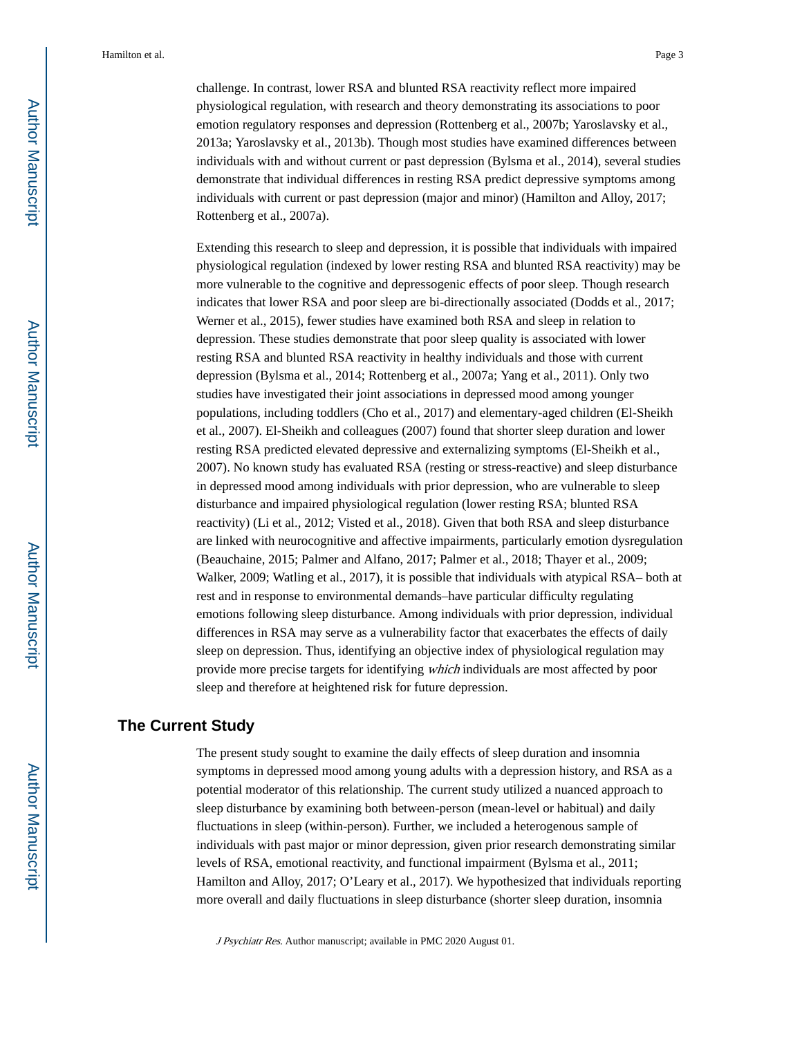challenge. In contrast, lower RSA and blunted RSA reactivity reflect more impaired physiological regulation, with research and theory demonstrating its associations to poor emotion regulatory responses and depression (Rottenberg et al., 2007b; Yaroslavsky et al., 2013a; Yaroslavsky et al., 2013b). Though most studies have examined differences between individuals with and without current or past depression (Bylsma et al., 2014), several studies demonstrate that individual differences in resting RSA predict depressive symptoms among individuals with current or past depression (major and minor) (Hamilton and Alloy, 2017; Rottenberg et al., 2007a).

Extending this research to sleep and depression, it is possible that individuals with impaired physiological regulation (indexed by lower resting RSA and blunted RSA reactivity) may be more vulnerable to the cognitive and depressogenic effects of poor sleep. Though research indicates that lower RSA and poor sleep are bi-directionally associated (Dodds et al., 2017; Werner et al., 2015), fewer studies have examined both RSA and sleep in relation to depression. These studies demonstrate that poor sleep quality is associated with lower resting RSA and blunted RSA reactivity in healthy individuals and those with current depression (Bylsma et al., 2014; Rottenberg et al., 2007a; Yang et al., 2011). Only two studies have investigated their joint associations in depressed mood among younger populations, including toddlers (Cho et al., 2017) and elementary-aged children (El-Sheikh et al., 2007). El-Sheikh and colleagues (2007) found that shorter sleep duration and lower resting RSA predicted elevated depressive and externalizing symptoms (El-Sheikh et al., 2007). No known study has evaluated RSA (resting or stress-reactive) and sleep disturbance in depressed mood among individuals with prior depression, who are vulnerable to sleep disturbance and impaired physiological regulation (lower resting RSA; blunted RSA reactivity) (Li et al., 2012; Visted et al., 2018). Given that both RSA and sleep disturbance are linked with neurocognitive and affective impairments, particularly emotion dysregulation (Beauchaine, 2015; Palmer and Alfano, 2017; Palmer et al., 2018; Thayer et al., 2009; Walker, 2009; Watling et al., 2017), it is possible that individuals with atypical RSA– both at rest and in response to environmental demands–have particular difficulty regulating emotions following sleep disturbance. Among individuals with prior depression, individual differences in RSA may serve as a vulnerability factor that exacerbates the effects of daily sleep on depression. Thus, identifying an objective index of physiological regulation may provide more precise targets for identifying which individuals are most affected by poor sleep and therefore at heightened risk for future depression.

## **The Current Study**

The present study sought to examine the daily effects of sleep duration and insomnia symptoms in depressed mood among young adults with a depression history, and RSA as a potential moderator of this relationship. The current study utilized a nuanced approach to sleep disturbance by examining both between-person (mean-level or habitual) and daily fluctuations in sleep (within-person). Further, we included a heterogenous sample of individuals with past major or minor depression, given prior research demonstrating similar levels of RSA, emotional reactivity, and functional impairment (Bylsma et al., 2011; Hamilton and Alloy, 2017; O'Leary et al., 2017). We hypothesized that individuals reporting more overall and daily fluctuations in sleep disturbance (shorter sleep duration, insomnia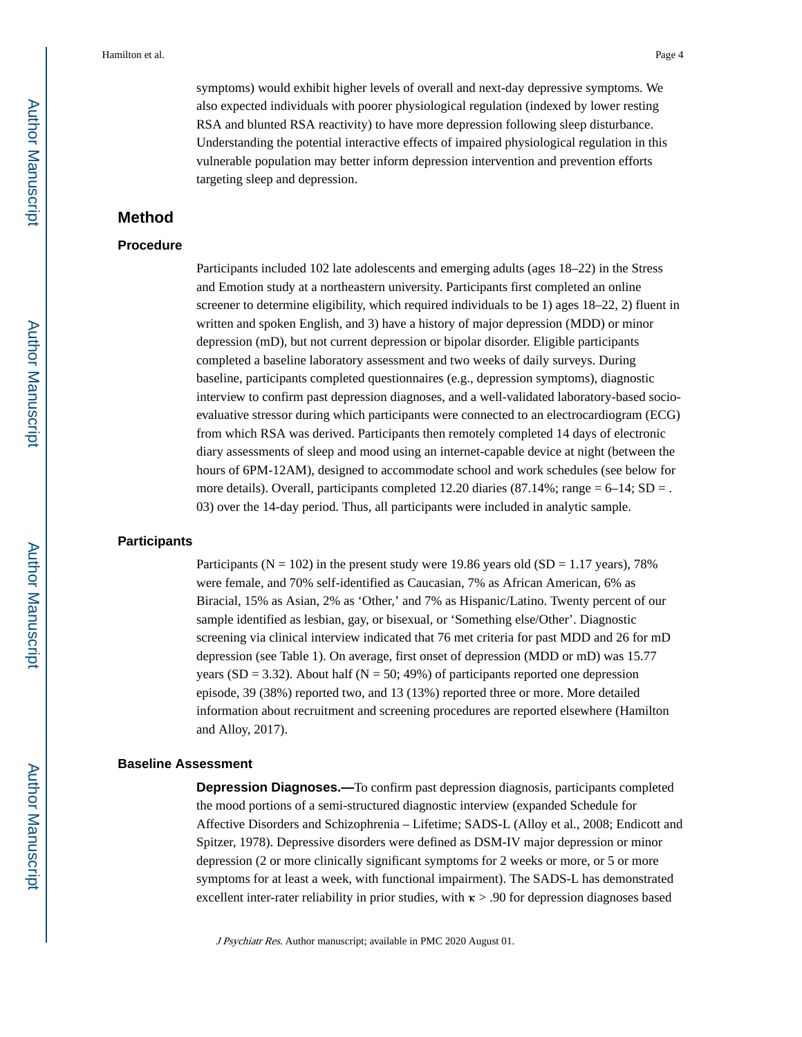symptoms) would exhibit higher levels of overall and next-day depressive symptoms. We also expected individuals with poorer physiological regulation (indexed by lower resting RSA and blunted RSA reactivity) to have more depression following sleep disturbance. Understanding the potential interactive effects of impaired physiological regulation in this vulnerable population may better inform depression intervention and prevention efforts targeting sleep and depression.

## **Method**

#### **Procedure**

Participants included 102 late adolescents and emerging adults (ages 18–22) in the Stress and Emotion study at a northeastern university. Participants first completed an online screener to determine eligibility, which required individuals to be 1) ages 18–22, 2) fluent in written and spoken English, and 3) have a history of major depression (MDD) or minor depression (mD), but not current depression or bipolar disorder. Eligible participants completed a baseline laboratory assessment and two weeks of daily surveys. During baseline, participants completed questionnaires (e.g., depression symptoms), diagnostic interview to confirm past depression diagnoses, and a well-validated laboratory-based socioevaluative stressor during which participants were connected to an electrocardiogram (ECG) from which RSA was derived. Participants then remotely completed 14 days of electronic diary assessments of sleep and mood using an internet-capable device at night (between the hours of 6PM-12AM), designed to accommodate school and work schedules (see below for more details). Overall, participants completed 12.20 diaries (87.14%; range = 6–14; SD = . 03) over the 14-day period. Thus, all participants were included in analytic sample.

#### **Participants**

Participants ( $N = 102$ ) in the present study were 19.86 years old ( $SD = 1.17$  years), 78% were female, and 70% self-identified as Caucasian, 7% as African American, 6% as Biracial, 15% as Asian, 2% as 'Other,' and 7% as Hispanic/Latino. Twenty percent of our sample identified as lesbian, gay, or bisexual, or 'Something else/Other'. Diagnostic screening via clinical interview indicated that 76 met criteria for past MDD and 26 for mD depression (see Table 1). On average, first onset of depression (MDD or mD) was 15.77 years (SD = 3.32). About half ( $N = 50$ ; 49%) of participants reported one depression episode, 39 (38%) reported two, and 13 (13%) reported three or more. More detailed information about recruitment and screening procedures are reported elsewhere (Hamilton and Alloy, 2017).

#### **Baseline Assessment**

**Depression Diagnoses.—**To confirm past depression diagnosis, participants completed the mood portions of a semi-structured diagnostic interview (expanded Schedule for Affective Disorders and Schizophrenia – Lifetime; SADS-L (Alloy et al., 2008; Endicott and Spitzer, 1978). Depressive disorders were defined as DSM-IV major depression or minor depression (2 or more clinically significant symptoms for 2 weeks or more, or 5 or more symptoms for at least a week, with functional impairment). The SADS-L has demonstrated excellent inter-rater reliability in prior studies, with  $\kappa$  > .90 for depression diagnoses based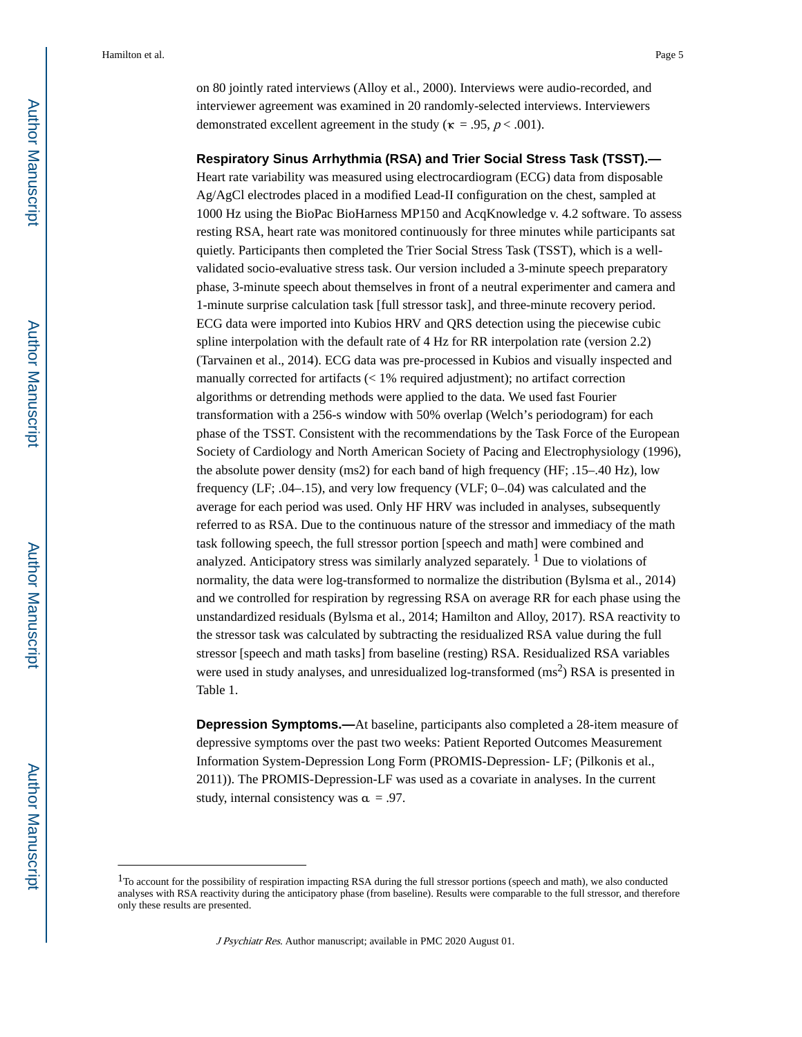on 80 jointly rated interviews (Alloy et al., 2000). Interviews were audio-recorded, and interviewer agreement was examined in 20 randomly-selected interviews. Interviewers demonstrated excellent agreement in the study ( $\kappa = .95$ ,  $p < .001$ ).

#### **Respiratory Sinus Arrhythmia (RSA) and Trier Social Stress Task (TSST).—**

Heart rate variability was measured using electrocardiogram (ECG) data from disposable Ag/AgCl electrodes placed in a modified Lead-II configuration on the chest, sampled at 1000 Hz using the BioPac BioHarness MP150 and AcqKnowledge v. 4.2 software. To assess resting RSA, heart rate was monitored continuously for three minutes while participants sat quietly. Participants then completed the Trier Social Stress Task (TSST), which is a wellvalidated socio-evaluative stress task. Our version included a 3-minute speech preparatory phase, 3-minute speech about themselves in front of a neutral experimenter and camera and 1-minute surprise calculation task [full stressor task], and three-minute recovery period. ECG data were imported into Kubios HRV and QRS detection using the piecewise cubic spline interpolation with the default rate of 4 Hz for RR interpolation rate (version 2.2) (Tarvainen et al., 2014). ECG data was pre-processed in Kubios and visually inspected and manually corrected for artifacts (< 1% required adjustment); no artifact correction algorithms or detrending methods were applied to the data. We used fast Fourier transformation with a 256-s window with 50% overlap (Welch's periodogram) for each phase of the TSST. Consistent with the recommendations by the Task Force of the European Society of Cardiology and North American Society of Pacing and Electrophysiology (1996), the absolute power density (ms2) for each band of high frequency (HF; .15–.40 Hz), low frequency (LF; .04–.15), and very low frequency (VLF; 0–.04) was calculated and the average for each period was used. Only HF HRV was included in analyses, subsequently referred to as RSA. Due to the continuous nature of the stressor and immediacy of the math task following speech, the full stressor portion [speech and math] were combined and analyzed. Anticipatory stress was similarly analyzed separately.  $<sup>1</sup>$  Due to violations of</sup> normality, the data were log-transformed to normalize the distribution (Bylsma et al., 2014) and we controlled for respiration by regressing RSA on average RR for each phase using the unstandardized residuals (Bylsma et al., 2014; Hamilton and Alloy, 2017). RSA reactivity to the stressor task was calculated by subtracting the residualized RSA value during the full stressor [speech and math tasks] from baseline (resting) RSA. Residualized RSA variables were used in study analyses, and unresidualized log-transformed  $(ms^2)$  RSA is presented in Table 1.

**Depression Symptoms.—**At baseline, participants also completed a 28-item measure of depressive symptoms over the past two weeks: Patient Reported Outcomes Measurement Information System-Depression Long Form (PROMIS-Depression- LF; (Pilkonis et al., 2011)). The PROMIS-Depression-LF was used as a covariate in analyses. In the current study, internal consistency was  $\alpha = .97$ .

 $1$ To account for the possibility of respiration impacting RSA during the full stressor portions (speech and math), we also conducted analyses with RSA reactivity during the anticipatory phase (from baseline). Results were comparable to the full stressor, and therefore only these results are presented.

J Psychiatr Res. Author manuscript; available in PMC 2020 August 01.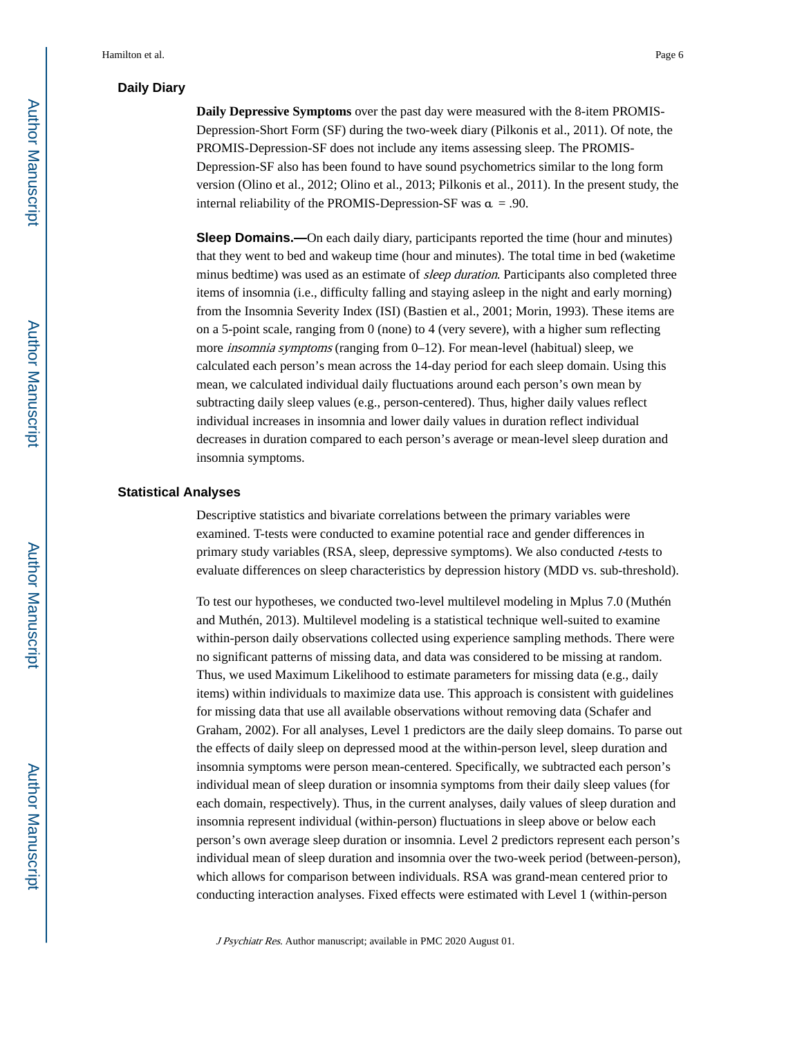## **Daily Diary**

**Daily Depressive Symptoms** over the past day were measured with the 8-item PROMIS-Depression-Short Form (SF) during the two-week diary (Pilkonis et al., 2011). Of note, the PROMIS-Depression-SF does not include any items assessing sleep. The PROMIS-Depression-SF also has been found to have sound psychometrics similar to the long form version (Olino et al., 2012; Olino et al., 2013; Pilkonis et al., 2011). In the present study, the internal reliability of the PROMIS-Depression-SF was  $\alpha = .90$ .

**Sleep Domains.—**On each daily diary, participants reported the time (hour and minutes) that they went to bed and wakeup time (hour and minutes). The total time in bed (waketime minus bedtime) was used as an estimate of *sleep duration*. Participants also completed three items of insomnia (i.e., difficulty falling and staying asleep in the night and early morning) from the Insomnia Severity Index (ISI) (Bastien et al., 2001; Morin, 1993). These items are on a 5-point scale, ranging from 0 (none) to 4 (very severe), with a higher sum reflecting more *insomnia symptoms* (ranging from 0–12). For mean-level (habitual) sleep, we calculated each person's mean across the 14-day period for each sleep domain. Using this mean, we calculated individual daily fluctuations around each person's own mean by subtracting daily sleep values (e.g., person-centered). Thus, higher daily values reflect individual increases in insomnia and lower daily values in duration reflect individual decreases in duration compared to each person's average or mean-level sleep duration and insomnia symptoms.

#### **Statistical Analyses**

Descriptive statistics and bivariate correlations between the primary variables were examined. T-tests were conducted to examine potential race and gender differences in primary study variables (RSA, sleep, depressive symptoms). We also conducted t-tests to evaluate differences on sleep characteristics by depression history (MDD vs. sub-threshold).

To test our hypotheses, we conducted two-level multilevel modeling in Mplus 7.0 (Muthén and Muthén, 2013). Multilevel modeling is a statistical technique well-suited to examine within-person daily observations collected using experience sampling methods. There were no significant patterns of missing data, and data was considered to be missing at random. Thus, we used Maximum Likelihood to estimate parameters for missing data (e.g., daily items) within individuals to maximize data use. This approach is consistent with guidelines for missing data that use all available observations without removing data (Schafer and Graham, 2002). For all analyses, Level 1 predictors are the daily sleep domains. To parse out the effects of daily sleep on depressed mood at the within-person level, sleep duration and insomnia symptoms were person mean-centered. Specifically, we subtracted each person's individual mean of sleep duration or insomnia symptoms from their daily sleep values (for each domain, respectively). Thus, in the current analyses, daily values of sleep duration and insomnia represent individual (within-person) fluctuations in sleep above or below each person's own average sleep duration or insomnia. Level 2 predictors represent each person's individual mean of sleep duration and insomnia over the two-week period (between-person), which allows for comparison between individuals. RSA was grand-mean centered prior to conducting interaction analyses. Fixed effects were estimated with Level 1 (within-person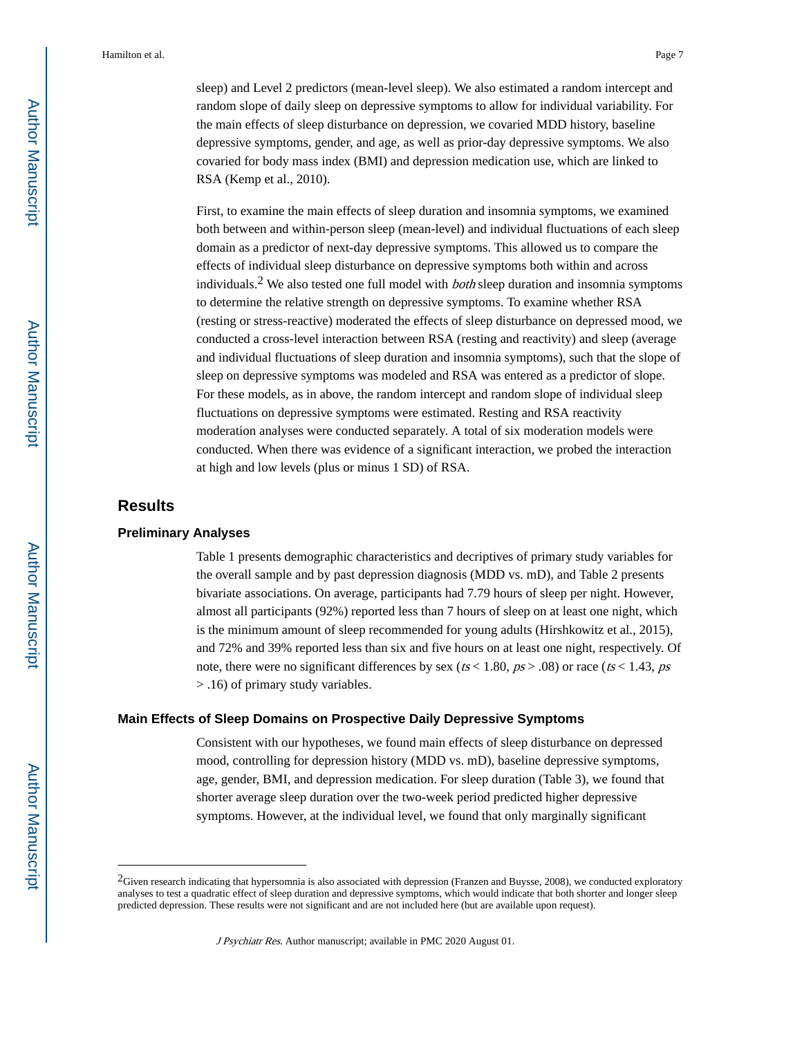sleep) and Level 2 predictors (mean-level sleep). We also estimated a random intercept and random slope of daily sleep on depressive symptoms to allow for individual variability. For the main effects of sleep disturbance on depression, we covaried MDD history, baseline depressive symptoms, gender, and age, as well as prior-day depressive symptoms. We also covaried for body mass index (BMI) and depression medication use, which are linked to RSA (Kemp et al., 2010).

First, to examine the main effects of sleep duration and insomnia symptoms, we examined both between and within-person sleep (mean-level) and individual fluctuations of each sleep domain as a predictor of next-day depressive symptoms. This allowed us to compare the effects of individual sleep disturbance on depressive symptoms both within and across individuals.<sup>2</sup> We also tested one full model with *both* sleep duration and insomnia symptoms to determine the relative strength on depressive symptoms. To examine whether RSA (resting or stress-reactive) moderated the effects of sleep disturbance on depressed mood, we conducted a cross-level interaction between RSA (resting and reactivity) and sleep (average and individual fluctuations of sleep duration and insomnia symptoms), such that the slope of sleep on depressive symptoms was modeled and RSA was entered as a predictor of slope. For these models, as in above, the random intercept and random slope of individual sleep fluctuations on depressive symptoms were estimated. Resting and RSA reactivity moderation analyses were conducted separately. A total of six moderation models were conducted. When there was evidence of a significant interaction, we probed the interaction at high and low levels (plus or minus 1 SD) of RSA.

## **Results**

#### **Preliminary Analyses**

Table 1 presents demographic characteristics and decriptives of primary study variables for the overall sample and by past depression diagnosis (MDD vs. mD), and Table 2 presents bivariate associations. On average, participants had 7.79 hours of sleep per night. However, almost all participants (92%) reported less than 7 hours of sleep on at least one night, which is the minimum amount of sleep recommended for young adults (Hirshkowitz et al., 2015), and 72% and 39% reported less than six and five hours on at least one night, respectively. Of note, there were no significant differences by sex ( $ts < 1.80$ ,  $ps > .08$ ) or race ( $ts < 1.43$ ,  $ps$ ) > .16) of primary study variables.

#### **Main Effects of Sleep Domains on Prospective Daily Depressive Symptoms**

Consistent with our hypotheses, we found main effects of sleep disturbance on depressed mood, controlling for depression history (MDD vs. mD), baseline depressive symptoms, age, gender, BMI, and depression medication. For sleep duration (Table 3), we found that shorter average sleep duration over the two-week period predicted higher depressive symptoms. However, at the individual level, we found that only marginally significant

<sup>&</sup>lt;sup>2</sup>Given research indicating that hypersomnia is also associated with depression (Franzen and Buysse, 2008), we conducted exploratory analyses to test a quadratic effect of sleep duration and depressive symptoms, which would indicate that both shorter and longer sleep predicted depression. These results were not significant and are not included here (but are available upon request).

J Psychiatr Res. Author manuscript; available in PMC 2020 August 01.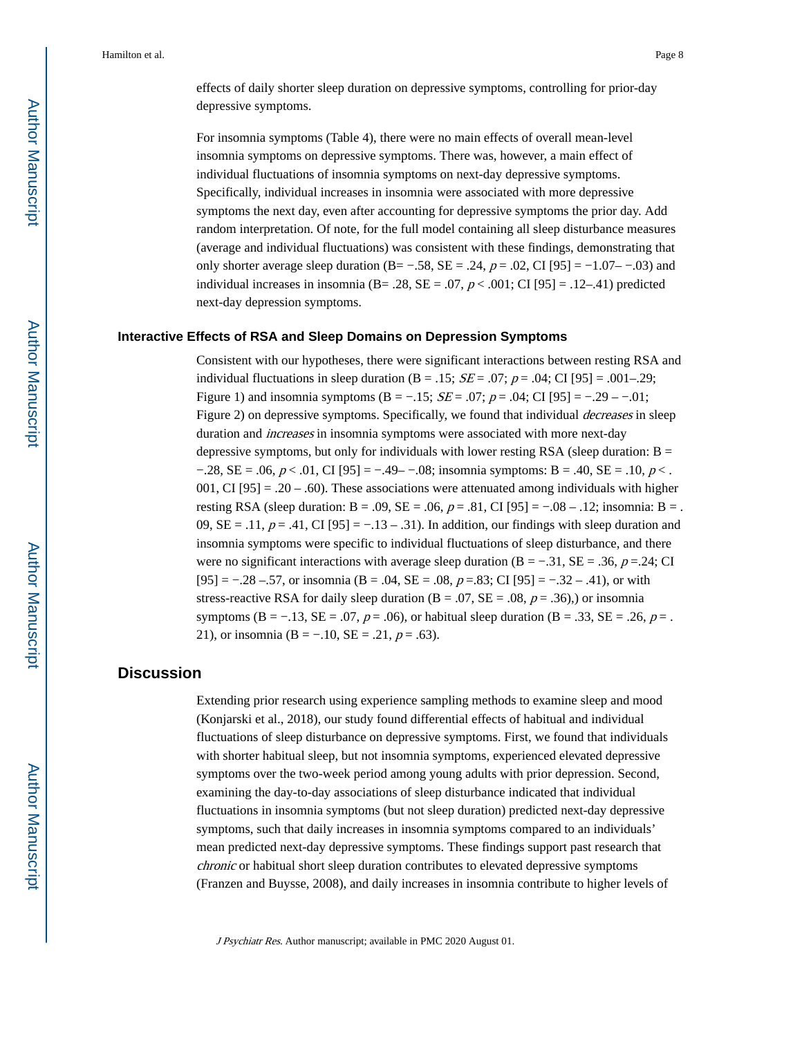effects of daily shorter sleep duration on depressive symptoms, controlling for prior-day depressive symptoms.

For insomnia symptoms (Table 4), there were no main effects of overall mean-level insomnia symptoms on depressive symptoms. There was, however, a main effect of individual fluctuations of insomnia symptoms on next-day depressive symptoms. Specifically, individual increases in insomnia were associated with more depressive symptoms the next day, even after accounting for depressive symptoms the prior day. Add random interpretation. Of note, for the full model containing all sleep disturbance measures (average and individual fluctuations) was consistent with these findings, demonstrating that only shorter average sleep duration (B= −.58, SE = .24,  $p = .02$ , CI [95] = −1.07– −.03) and individual increases in insomnia (B= .28, SE = .07,  $p$  < .001; CI [95] = .12-.41) predicted next-day depression symptoms.

#### **Interactive Effects of RSA and Sleep Domains on Depression Symptoms**

Consistent with our hypotheses, there were significant interactions between resting RSA and individual fluctuations in sleep duration (B = .15;  $SE = .07$ ;  $p = .04$ ; CI [95] = .001–.29; Figure 1) and insomnia symptoms (B = -.15;  $SE = .07$ ;  $p = .04$ ; CI [95] = -.29 – -.01; Figure 2) on depressive symptoms. Specifically, we found that individual *decreases* in sleep duration and *increases* in insomnia symptoms were associated with more next-day depressive symptoms, but only for individuals with lower resting RSA (sleep duration:  $B =$ −.28, SE = .06,  $p$  < .01, CI [95] = −.49−−.08; insomnia symptoms: B = .40, SE = .10,  $p$  < . 001, CI  $[95] = .20 - .60$ ). These associations were attenuated among individuals with higher resting RSA (sleep duration: B = .09, SE = .06,  $p = .81$ , CI [95] =  $-.08 - .12$ ; insomnia: B = . 09,  $SE = .11$ ,  $p = .41$ ,  $CI [95] = -.13 - .31$ . In addition, our findings with sleep duration and insomnia symptoms were specific to individual fluctuations of sleep disturbance, and there were no significant interactions with average sleep duration (B =  $-.31$ , SE = .36, p = .24; CI  $[95] = -.28 - .57$ , or insomnia (B = .04, SE = .08, p = .83; CI [95] = -.32 – .41), or with stress-reactive RSA for daily sleep duration ( $B = .07$ ,  $SE = .08$ ,  $p = .36$ ),) or insomnia symptoms (B = -.13, SE = .07,  $p = .06$ ), or habitual sleep duration (B = .33, SE = .26,  $p =$  . 21), or insomnia (B = -.10, SE = .21,  $p = .63$ ).

## **Discussion**

Extending prior research using experience sampling methods to examine sleep and mood (Konjarski et al., 2018), our study found differential effects of habitual and individual fluctuations of sleep disturbance on depressive symptoms. First, we found that individuals with shorter habitual sleep, but not insomnia symptoms, experienced elevated depressive symptoms over the two-week period among young adults with prior depression. Second, examining the day-to-day associations of sleep disturbance indicated that individual fluctuations in insomnia symptoms (but not sleep duration) predicted next-day depressive symptoms, such that daily increases in insomnia symptoms compared to an individuals' mean predicted next-day depressive symptoms. These findings support past research that chronic or habitual short sleep duration contributes to elevated depressive symptoms (Franzen and Buysse, 2008), and daily increases in insomnia contribute to higher levels of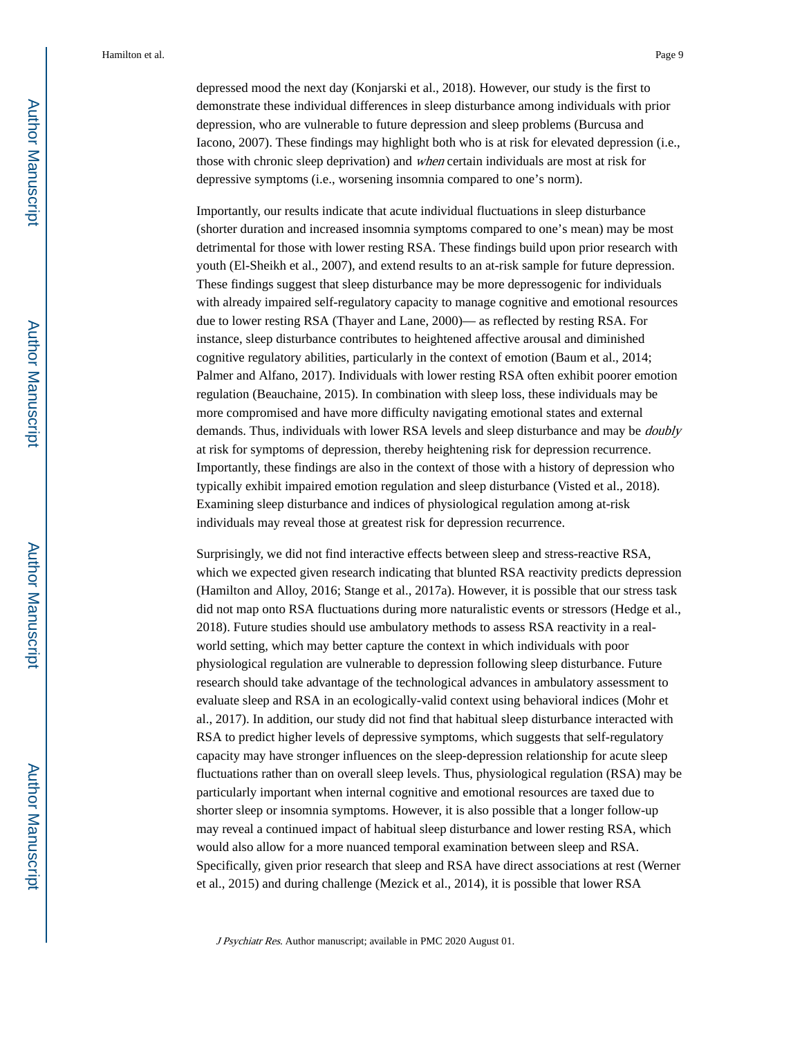depressed mood the next day (Konjarski et al., 2018). However, our study is the first to demonstrate these individual differences in sleep disturbance among individuals with prior depression, who are vulnerable to future depression and sleep problems (Burcusa and Iacono, 2007). These findings may highlight both who is at risk for elevated depression (i.e., those with chronic sleep deprivation) and when certain individuals are most at risk for depressive symptoms (i.e., worsening insomnia compared to one's norm).

Importantly, our results indicate that acute individual fluctuations in sleep disturbance (shorter duration and increased insomnia symptoms compared to one's mean) may be most detrimental for those with lower resting RSA. These findings build upon prior research with youth (El-Sheikh et al., 2007), and extend results to an at-risk sample for future depression. These findings suggest that sleep disturbance may be more depressogenic for individuals with already impaired self-regulatory capacity to manage cognitive and emotional resources due to lower resting RSA (Thayer and Lane, 2000)— as reflected by resting RSA. For instance, sleep disturbance contributes to heightened affective arousal and diminished cognitive regulatory abilities, particularly in the context of emotion (Baum et al., 2014; Palmer and Alfano, 2017). Individuals with lower resting RSA often exhibit poorer emotion regulation (Beauchaine, 2015). In combination with sleep loss, these individuals may be more compromised and have more difficulty navigating emotional states and external demands. Thus, individuals with lower RSA levels and sleep disturbance and may be *doubly* at risk for symptoms of depression, thereby heightening risk for depression recurrence. Importantly, these findings are also in the context of those with a history of depression who typically exhibit impaired emotion regulation and sleep disturbance (Visted et al., 2018). Examining sleep disturbance and indices of physiological regulation among at-risk individuals may reveal those at greatest risk for depression recurrence.

Surprisingly, we did not find interactive effects between sleep and stress-reactive RSA, which we expected given research indicating that blunted RSA reactivity predicts depression (Hamilton and Alloy, 2016; Stange et al., 2017a). However, it is possible that our stress task did not map onto RSA fluctuations during more naturalistic events or stressors (Hedge et al., 2018). Future studies should use ambulatory methods to assess RSA reactivity in a realworld setting, which may better capture the context in which individuals with poor physiological regulation are vulnerable to depression following sleep disturbance. Future research should take advantage of the technological advances in ambulatory assessment to evaluate sleep and RSA in an ecologically-valid context using behavioral indices (Mohr et al., 2017). In addition, our study did not find that habitual sleep disturbance interacted with RSA to predict higher levels of depressive symptoms, which suggests that self-regulatory capacity may have stronger influences on the sleep-depression relationship for acute sleep fluctuations rather than on overall sleep levels. Thus, physiological regulation (RSA) may be particularly important when internal cognitive and emotional resources are taxed due to shorter sleep or insomnia symptoms. However, it is also possible that a longer follow-up may reveal a continued impact of habitual sleep disturbance and lower resting RSA, which would also allow for a more nuanced temporal examination between sleep and RSA. Specifically, given prior research that sleep and RSA have direct associations at rest (Werner et al., 2015) and during challenge (Mezick et al., 2014), it is possible that lower RSA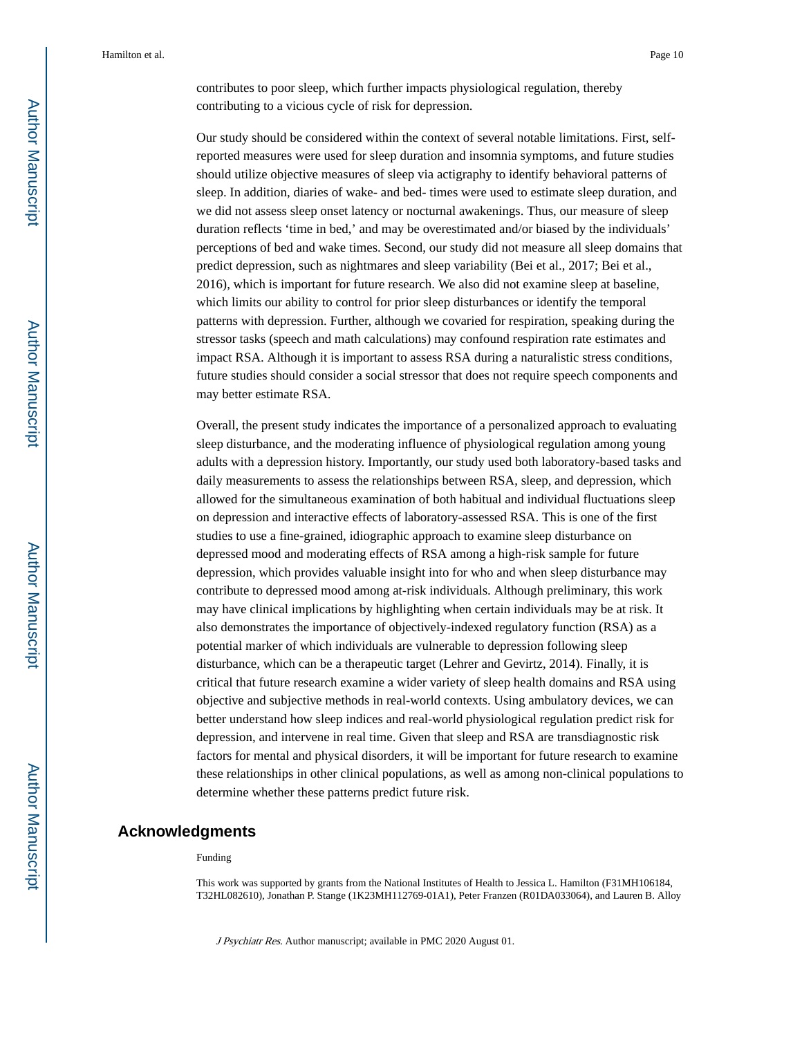contributes to poor sleep, which further impacts physiological regulation, thereby contributing to a vicious cycle of risk for depression.

Our study should be considered within the context of several notable limitations. First, selfreported measures were used for sleep duration and insomnia symptoms, and future studies should utilize objective measures of sleep via actigraphy to identify behavioral patterns of sleep. In addition, diaries of wake- and bed- times were used to estimate sleep duration, and we did not assess sleep onset latency or nocturnal awakenings. Thus, our measure of sleep duration reflects 'time in bed,' and may be overestimated and/or biased by the individuals' perceptions of bed and wake times. Second, our study did not measure all sleep domains that predict depression, such as nightmares and sleep variability (Bei et al., 2017; Bei et al., 2016), which is important for future research. We also did not examine sleep at baseline, which limits our ability to control for prior sleep disturbances or identify the temporal patterns with depression. Further, although we covaried for respiration, speaking during the stressor tasks (speech and math calculations) may confound respiration rate estimates and impact RSA. Although it is important to assess RSA during a naturalistic stress conditions, future studies should consider a social stressor that does not require speech components and may better estimate RSA.

Overall, the present study indicates the importance of a personalized approach to evaluating sleep disturbance, and the moderating influence of physiological regulation among young adults with a depression history. Importantly, our study used both laboratory-based tasks and daily measurements to assess the relationships between RSA, sleep, and depression, which allowed for the simultaneous examination of both habitual and individual fluctuations sleep on depression and interactive effects of laboratory-assessed RSA. This is one of the first studies to use a fine-grained, idiographic approach to examine sleep disturbance on depressed mood and moderating effects of RSA among a high-risk sample for future depression, which provides valuable insight into for who and when sleep disturbance may contribute to depressed mood among at-risk individuals. Although preliminary, this work may have clinical implications by highlighting when certain individuals may be at risk. It also demonstrates the importance of objectively-indexed regulatory function (RSA) as a potential marker of which individuals are vulnerable to depression following sleep disturbance, which can be a therapeutic target (Lehrer and Gevirtz, 2014). Finally, it is critical that future research examine a wider variety of sleep health domains and RSA using objective and subjective methods in real-world contexts. Using ambulatory devices, we can better understand how sleep indices and real-world physiological regulation predict risk for depression, and intervene in real time. Given that sleep and RSA are transdiagnostic risk factors for mental and physical disorders, it will be important for future research to examine these relationships in other clinical populations, as well as among non-clinical populations to determine whether these patterns predict future risk.

## **Acknowledgments**

#### Funding

This work was supported by grants from the National Institutes of Health to Jessica L. Hamilton (F31MH106184, T32HL082610), Jonathan P. Stange (1K23MH112769-01A1), Peter Franzen (R01DA033064), and Lauren B. Alloy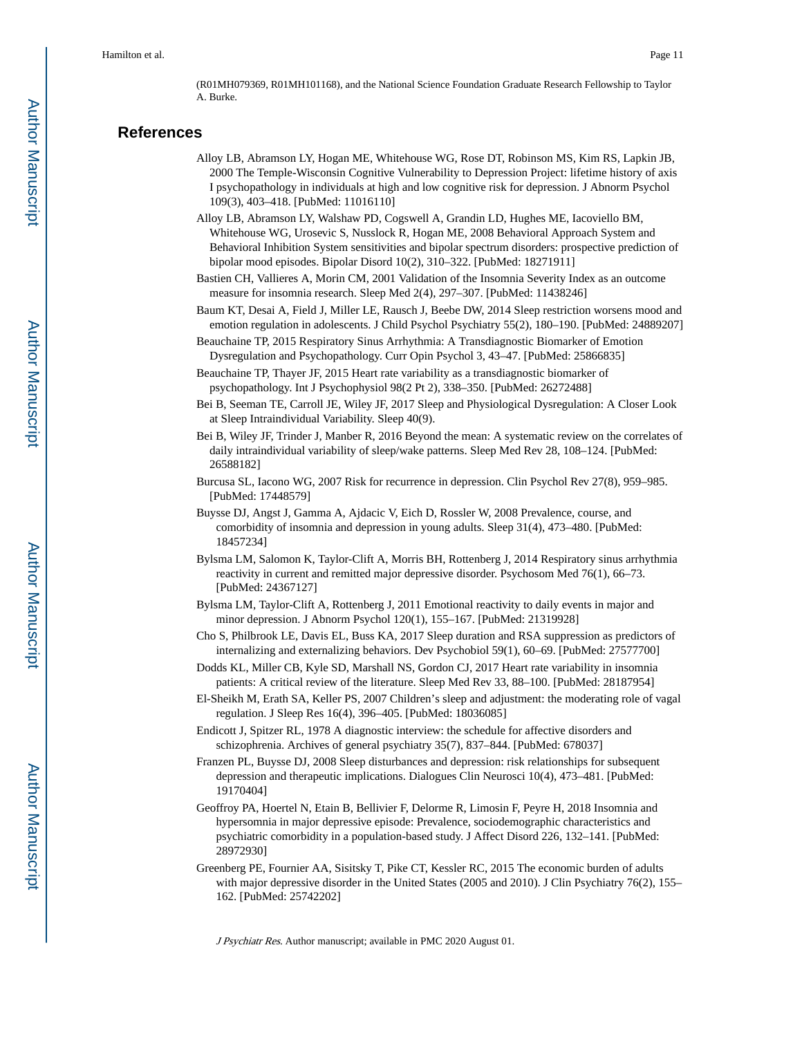(R01MH079369, R01MH101168), and the National Science Foundation Graduate Research Fellowship to Taylor A. Burke.

## **References**

- Alloy LB, Abramson LY, Hogan ME, Whitehouse WG, Rose DT, Robinson MS, Kim RS, Lapkin JB, 2000 The Temple-Wisconsin Cognitive Vulnerability to Depression Project: lifetime history of axis I psychopathology in individuals at high and low cognitive risk for depression. J Abnorm Psychol 109(3), 403–418. [PubMed: 11016110]
- Alloy LB, Abramson LY, Walshaw PD, Cogswell A, Grandin LD, Hughes ME, Iacoviello BM, Whitehouse WG, Urosevic S, Nusslock R, Hogan ME, 2008 Behavioral Approach System and Behavioral Inhibition System sensitivities and bipolar spectrum disorders: prospective prediction of bipolar mood episodes. Bipolar Disord 10(2), 310–322. [PubMed: 18271911]
- Bastien CH, Vallieres A, Morin CM, 2001 Validation of the Insomnia Severity Index as an outcome measure for insomnia research. Sleep Med 2(4), 297–307. [PubMed: 11438246]
- Baum KT, Desai A, Field J, Miller LE, Rausch J, Beebe DW, 2014 Sleep restriction worsens mood and emotion regulation in adolescents. J Child Psychol Psychiatry 55(2), 180–190. [PubMed: 24889207]
- Beauchaine TP, 2015 Respiratory Sinus Arrhythmia: A Transdiagnostic Biomarker of Emotion Dysregulation and Psychopathology. Curr Opin Psychol 3, 43–47. [PubMed: 25866835]
- Beauchaine TP, Thayer JF, 2015 Heart rate variability as a transdiagnostic biomarker of psychopathology. Int J Psychophysiol 98(2 Pt 2), 338–350. [PubMed: 26272488]
- Bei B, Seeman TE, Carroll JE, Wiley JF, 2017 Sleep and Physiological Dysregulation: A Closer Look at Sleep Intraindividual Variability. Sleep 40(9).
- Bei B, Wiley JF, Trinder J, Manber R, 2016 Beyond the mean: A systematic review on the correlates of daily intraindividual variability of sleep/wake patterns. Sleep Med Rev 28, 108–124. [PubMed: 26588182]
- Burcusa SL, Iacono WG, 2007 Risk for recurrence in depression. Clin Psychol Rev 27(8), 959–985. [PubMed: 17448579]
- Buysse DJ, Angst J, Gamma A, Ajdacic V, Eich D, Rossler W, 2008 Prevalence, course, and comorbidity of insomnia and depression in young adults. Sleep 31(4), 473–480. [PubMed: 18457234]
- Bylsma LM, Salomon K, Taylor-Clift A, Morris BH, Rottenberg J, 2014 Respiratory sinus arrhythmia reactivity in current and remitted major depressive disorder. Psychosom Med 76(1), 66–73. [PubMed: 24367127]
- Bylsma LM, Taylor-Clift A, Rottenberg J, 2011 Emotional reactivity to daily events in major and minor depression. J Abnorm Psychol 120(1), 155–167. [PubMed: 21319928]
- Cho S, Philbrook LE, Davis EL, Buss KA, 2017 Sleep duration and RSA suppression as predictors of internalizing and externalizing behaviors. Dev Psychobiol 59(1), 60–69. [PubMed: 27577700]
- Dodds KL, Miller CB, Kyle SD, Marshall NS, Gordon CJ, 2017 Heart rate variability in insomnia patients: A critical review of the literature. Sleep Med Rev 33, 88–100. [PubMed: 28187954]
- El-Sheikh M, Erath SA, Keller PS, 2007 Children's sleep and adjustment: the moderating role of vagal regulation. J Sleep Res 16(4), 396–405. [PubMed: 18036085]
- Endicott J, Spitzer RL, 1978 A diagnostic interview: the schedule for affective disorders and schizophrenia. Archives of general psychiatry 35(7), 837–844. [PubMed: 678037]
- Franzen PL, Buysse DJ, 2008 Sleep disturbances and depression: risk relationships for subsequent depression and therapeutic implications. Dialogues Clin Neurosci 10(4), 473–481. [PubMed: 19170404]
- Geoffroy PA, Hoertel N, Etain B, Bellivier F, Delorme R, Limosin F, Peyre H, 2018 Insomnia and hypersomnia in major depressive episode: Prevalence, sociodemographic characteristics and psychiatric comorbidity in a population-based study. J Affect Disord 226, 132–141. [PubMed: 28972930]
- Greenberg PE, Fournier AA, Sisitsky T, Pike CT, Kessler RC, 2015 The economic burden of adults with major depressive disorder in the United States (2005 and 2010). J Clin Psychiatry 76(2), 155– 162. [PubMed: 25742202]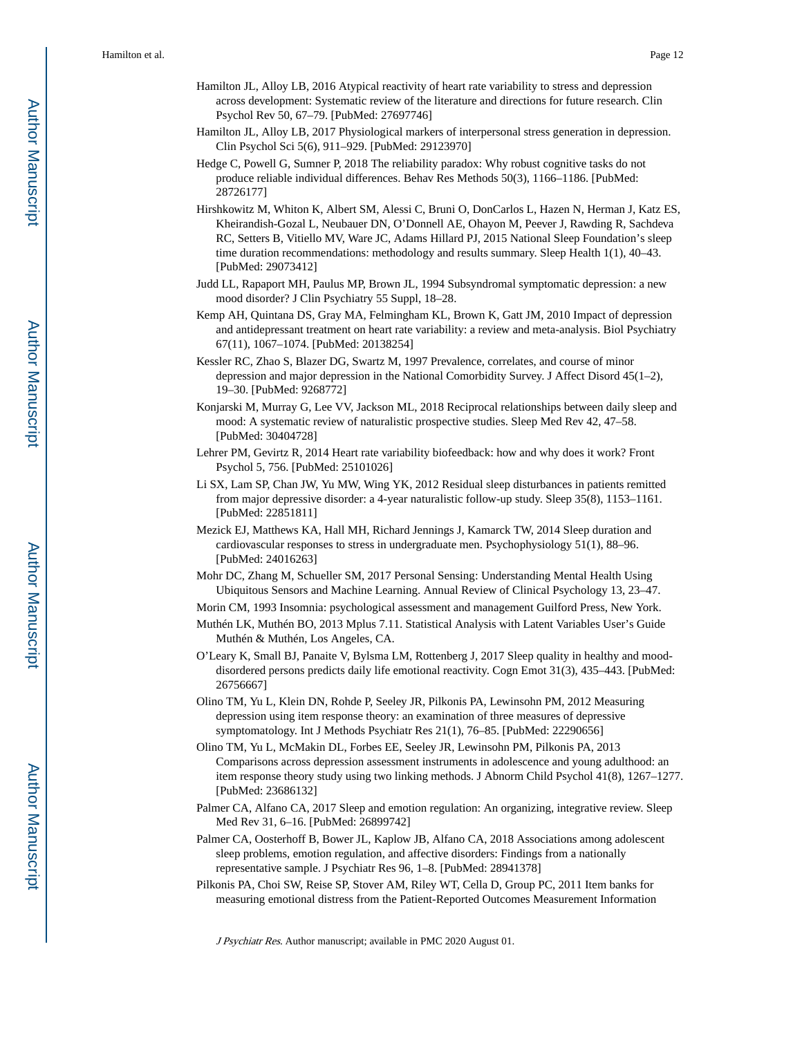- Hamilton JL, Alloy LB, 2016 Atypical reactivity of heart rate variability to stress and depression across development: Systematic review of the literature and directions for future research. Clin Psychol Rev 50, 67–79. [PubMed: 27697746]
- Hamilton JL, Alloy LB, 2017 Physiological markers of interpersonal stress generation in depression. Clin Psychol Sci 5(6), 911–929. [PubMed: 29123970]
- Hedge C, Powell G, Sumner P, 2018 The reliability paradox: Why robust cognitive tasks do not produce reliable individual differences. Behav Res Methods 50(3), 1166–1186. [PubMed: 28726177]
- Hirshkowitz M, Whiton K, Albert SM, Alessi C, Bruni O, DonCarlos L, Hazen N, Herman J, Katz ES, Kheirandish-Gozal L, Neubauer DN, O'Donnell AE, Ohayon M, Peever J, Rawding R, Sachdeva RC, Setters B, Vitiello MV, Ware JC, Adams Hillard PJ, 2015 National Sleep Foundation's sleep time duration recommendations: methodology and results summary. Sleep Health 1(1), 40–43. [PubMed: 29073412]
- Judd LL, Rapaport MH, Paulus MP, Brown JL, 1994 Subsyndromal symptomatic depression: a new mood disorder? J Clin Psychiatry 55 Suppl, 18–28.
- Kemp AH, Quintana DS, Gray MA, Felmingham KL, Brown K, Gatt JM, 2010 Impact of depression and antidepressant treatment on heart rate variability: a review and meta-analysis. Biol Psychiatry 67(11), 1067–1074. [PubMed: 20138254]
- Kessler RC, Zhao S, Blazer DG, Swartz M, 1997 Prevalence, correlates, and course of minor depression and major depression in the National Comorbidity Survey. J Affect Disord 45(1–2), 19–30. [PubMed: 9268772]
- Konjarski M, Murray G, Lee VV, Jackson ML, 2018 Reciprocal relationships between daily sleep and mood: A systematic review of naturalistic prospective studies. Sleep Med Rev 42, 47–58. [PubMed: 30404728]
- Lehrer PM, Gevirtz R, 2014 Heart rate variability biofeedback: how and why does it work? Front Psychol 5, 756. [PubMed: 25101026]
- Li SX, Lam SP, Chan JW, Yu MW, Wing YK, 2012 Residual sleep disturbances in patients remitted from major depressive disorder: a 4-year naturalistic follow-up study. Sleep 35(8), 1153–1161. [PubMed: 22851811]
- Mezick EJ, Matthews KA, Hall MH, Richard Jennings J, Kamarck TW, 2014 Sleep duration and cardiovascular responses to stress in undergraduate men. Psychophysiology 51(1), 88–96. [PubMed: 24016263]
- Mohr DC, Zhang M, Schueller SM, 2017 Personal Sensing: Understanding Mental Health Using Ubiquitous Sensors and Machine Learning. Annual Review of Clinical Psychology 13, 23–47.
- Morin CM, 1993 Insomnia: psychological assessment and management Guilford Press, New York.
- Muthén LK, Muthén BO, 2013 Mplus 7.11. Statistical Analysis with Latent Variables User's Guide Muthén & Muthén, Los Angeles, CA.
- O'Leary K, Small BJ, Panaite V, Bylsma LM, Rottenberg J, 2017 Sleep quality in healthy and mooddisordered persons predicts daily life emotional reactivity. Cogn Emot 31(3), 435–443. [PubMed: 26756667]
- Olino TM, Yu L, Klein DN, Rohde P, Seeley JR, Pilkonis PA, Lewinsohn PM, 2012 Measuring depression using item response theory: an examination of three measures of depressive symptomatology. Int J Methods Psychiatr Res 21(1), 76–85. [PubMed: 22290656]
- Olino TM, Yu L, McMakin DL, Forbes EE, Seeley JR, Lewinsohn PM, Pilkonis PA, 2013 Comparisons across depression assessment instruments in adolescence and young adulthood: an item response theory study using two linking methods. J Abnorm Child Psychol 41(8), 1267–1277. [PubMed: 23686132]
- Palmer CA, Alfano CA, 2017 Sleep and emotion regulation: An organizing, integrative review. Sleep Med Rev 31, 6–16. [PubMed: 26899742]
- Palmer CA, Oosterhoff B, Bower JL, Kaplow JB, Alfano CA, 2018 Associations among adolescent sleep problems, emotion regulation, and affective disorders: Findings from a nationally representative sample. J Psychiatr Res 96, 1–8. [PubMed: 28941378]
- Pilkonis PA, Choi SW, Reise SP, Stover AM, Riley WT, Cella D, Group PC, 2011 Item banks for measuring emotional distress from the Patient-Reported Outcomes Measurement Information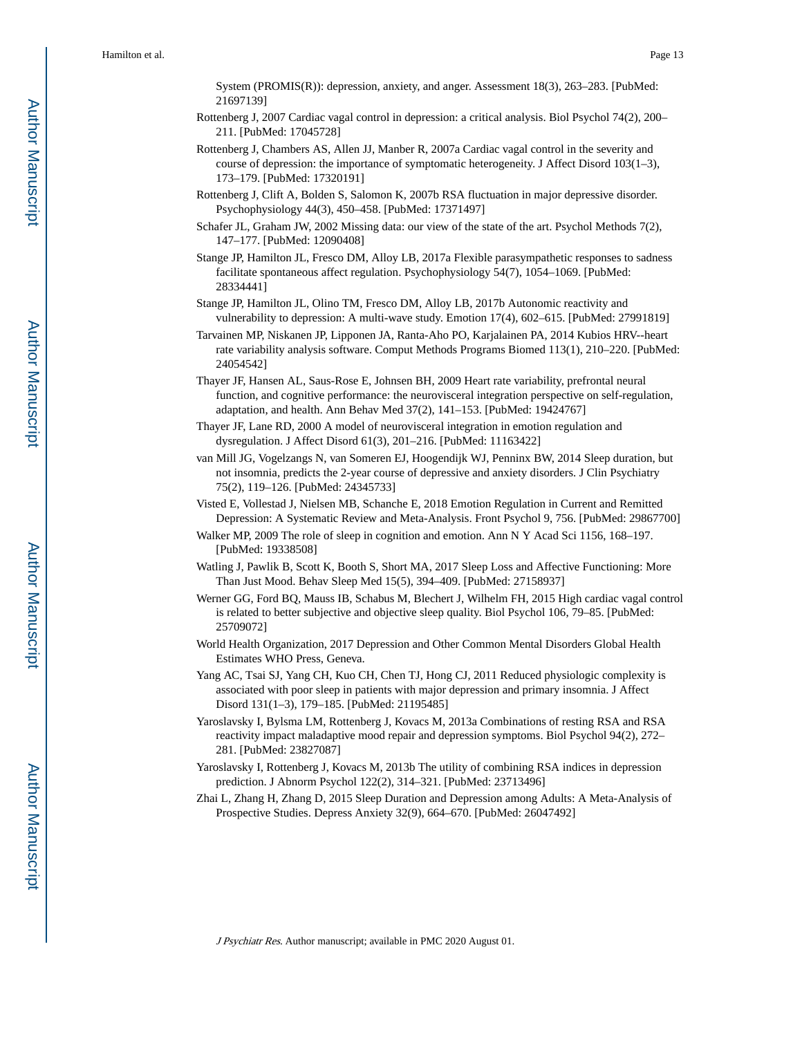System (PROMIS(R)): depression, anxiety, and anger. Assessment 18(3), 263–283. [PubMed: 21697139]

- Rottenberg J, 2007 Cardiac vagal control in depression: a critical analysis. Biol Psychol 74(2), 200– 211. [PubMed: 17045728]
- Rottenberg J, Chambers AS, Allen JJ, Manber R, 2007a Cardiac vagal control in the severity and course of depression: the importance of symptomatic heterogeneity. J Affect Disord 103(1–3), 173–179. [PubMed: 17320191]
- Rottenberg J, Clift A, Bolden S, Salomon K, 2007b RSA fluctuation in major depressive disorder. Psychophysiology 44(3), 450–458. [PubMed: 17371497]
- Schafer JL, Graham JW, 2002 Missing data: our view of the state of the art. Psychol Methods 7(2), 147–177. [PubMed: 12090408]
- Stange JP, Hamilton JL, Fresco DM, Alloy LB, 2017a Flexible parasympathetic responses to sadness facilitate spontaneous affect regulation. Psychophysiology 54(7), 1054–1069. [PubMed: 28334441]
- Stange JP, Hamilton JL, Olino TM, Fresco DM, Alloy LB, 2017b Autonomic reactivity and vulnerability to depression: A multi-wave study. Emotion 17(4), 602–615. [PubMed: 27991819]
- Tarvainen MP, Niskanen JP, Lipponen JA, Ranta-Aho PO, Karjalainen PA, 2014 Kubios HRV--heart rate variability analysis software. Comput Methods Programs Biomed 113(1), 210–220. [PubMed: 24054542]
- Thayer JF, Hansen AL, Saus-Rose E, Johnsen BH, 2009 Heart rate variability, prefrontal neural function, and cognitive performance: the neurovisceral integration perspective on self-regulation, adaptation, and health. Ann Behav Med 37(2), 141–153. [PubMed: 19424767]
- Thayer JF, Lane RD, 2000 A model of neurovisceral integration in emotion regulation and dysregulation. J Affect Disord 61(3), 201–216. [PubMed: 11163422]
- van Mill JG, Vogelzangs N, van Someren EJ, Hoogendijk WJ, Penninx BW, 2014 Sleep duration, but not insomnia, predicts the 2-year course of depressive and anxiety disorders. J Clin Psychiatry 75(2), 119–126. [PubMed: 24345733]
- Visted E, Vollestad J, Nielsen MB, Schanche E, 2018 Emotion Regulation in Current and Remitted Depression: A Systematic Review and Meta-Analysis. Front Psychol 9, 756. [PubMed: 29867700]
- Walker MP, 2009 The role of sleep in cognition and emotion. Ann N Y Acad Sci 1156, 168–197. [PubMed: 19338508]
- Watling J, Pawlik B, Scott K, Booth S, Short MA, 2017 Sleep Loss and Affective Functioning: More Than Just Mood. Behav Sleep Med 15(5), 394–409. [PubMed: 27158937]
- Werner GG, Ford BQ, Mauss IB, Schabus M, Blechert J, Wilhelm FH, 2015 High cardiac vagal control is related to better subjective and objective sleep quality. Biol Psychol 106, 79–85. [PubMed: 25709072]
- World Health Organization, 2017 Depression and Other Common Mental Disorders Global Health Estimates WHO Press, Geneva.
- Yang AC, Tsai SJ, Yang CH, Kuo CH, Chen TJ, Hong CJ, 2011 Reduced physiologic complexity is associated with poor sleep in patients with major depression and primary insomnia. J Affect Disord 131(1–3), 179–185. [PubMed: 21195485]
- Yaroslavsky I, Bylsma LM, Rottenberg J, Kovacs M, 2013a Combinations of resting RSA and RSA reactivity impact maladaptive mood repair and depression symptoms. Biol Psychol 94(2), 272– 281. [PubMed: 23827087]
- Yaroslavsky I, Rottenberg J, Kovacs M, 2013b The utility of combining RSA indices in depression prediction. J Abnorm Psychol 122(2), 314–321. [PubMed: 23713496]
- Zhai L, Zhang H, Zhang D, 2015 Sleep Duration and Depression among Adults: A Meta-Analysis of Prospective Studies. Depress Anxiety 32(9), 664–670. [PubMed: 26047492]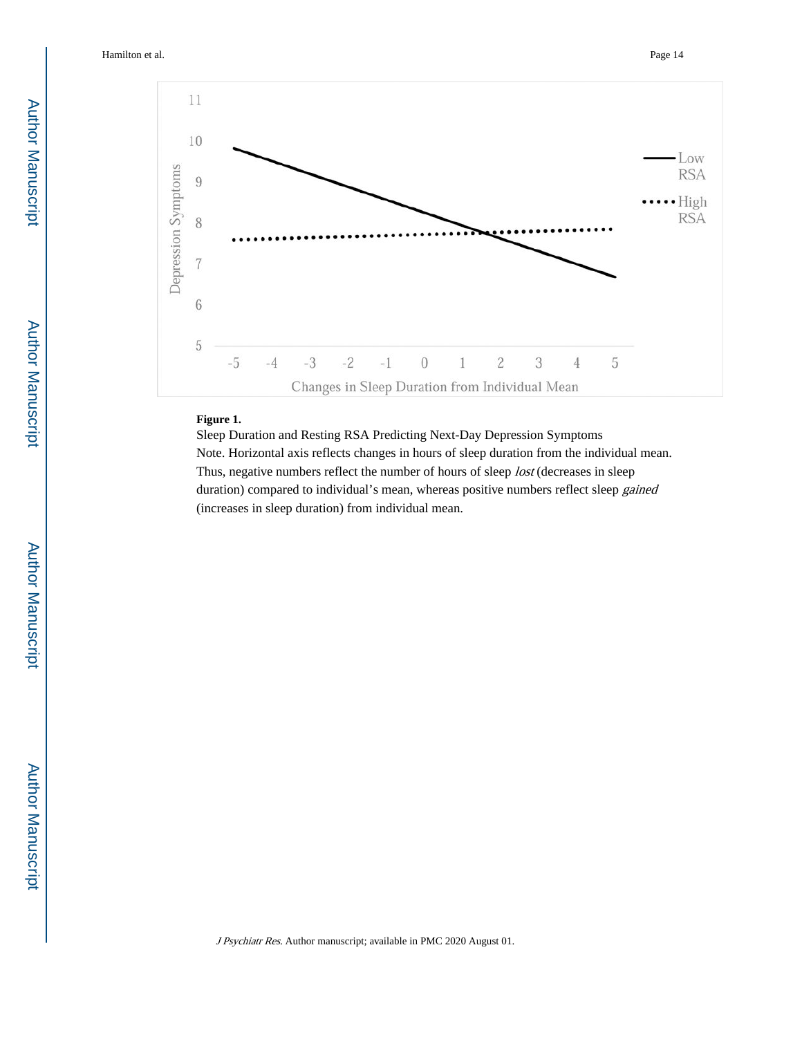Hamilton et al. Page 14



## **Figure 1.**

Sleep Duration and Resting RSA Predicting Next-Day Depression Symptoms Note. Horizontal axis reflects changes in hours of sleep duration from the individual mean. Thus, negative numbers reflect the number of hours of sleep *lost* (decreases in sleep duration) compared to individual's mean, whereas positive numbers reflect sleep gained (increases in sleep duration) from individual mean.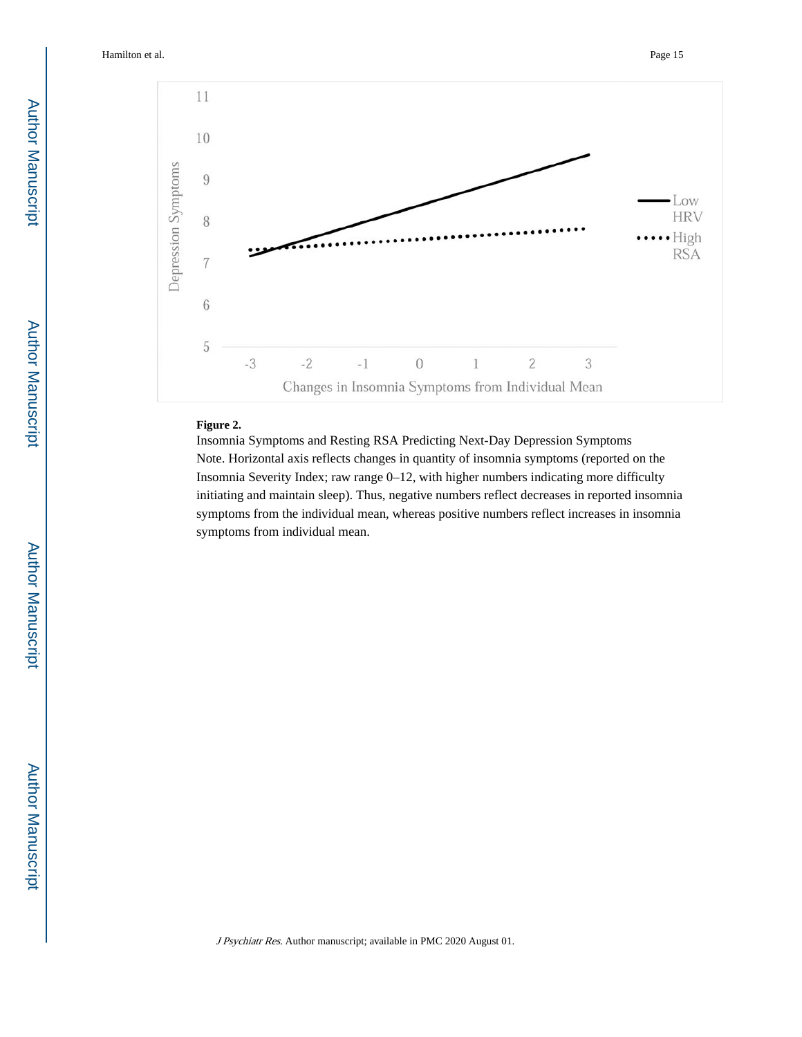Hamilton et al. Page 15



#### **Figure 2.**

Insomnia Symptoms and Resting RSA Predicting Next-Day Depression Symptoms Note. Horizontal axis reflects changes in quantity of insomnia symptoms (reported on the Insomnia Severity Index; raw range 0–12, with higher numbers indicating more difficulty initiating and maintain sleep). Thus, negative numbers reflect decreases in reported insomnia symptoms from the individual mean, whereas positive numbers reflect increases in insomnia symptoms from individual mean.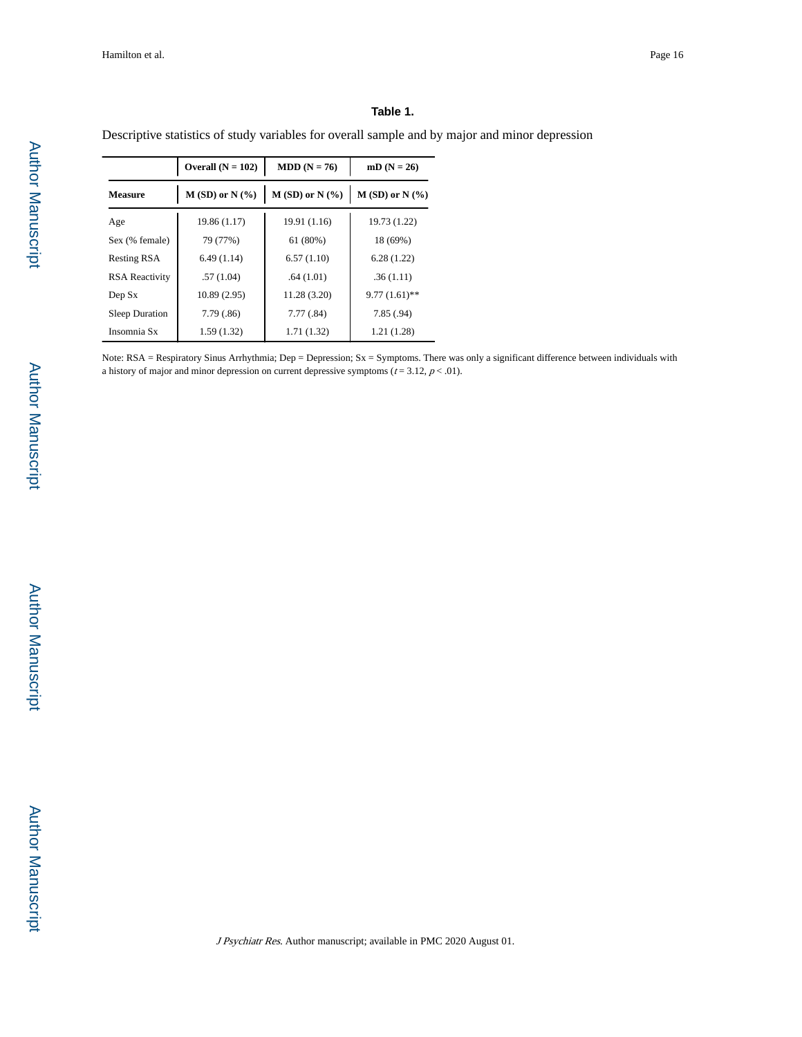#### **Table 1.**

Descriptive statistics of study variables for overall sample and by major and minor depression

|                       | Overall $(N = 102)$ | $MDD (N = 76)$     | $mD (N = 26)$                       |
|-----------------------|---------------------|--------------------|-------------------------------------|
| <b>Measure</b>        | $M(SD)$ or $N(\%)$  | $M(SD)$ or $N(\%)$ | $\mathbf M$ (SD) or $\mathbf N$ (%) |
| Age                   | 19.86 (1.17)        | 19.91 (1.16)       | 19.73 (1.22)                        |
| Sex (% female)        | 79 (77%)            | 61(80%)            | 18 (69%)                            |
| <b>Resting RSA</b>    | 6.49(1.14)          | 6.57(1.10)         | 6.28(1.22)                          |
| <b>RSA Reactivity</b> | .57(1.04)           | .64(1.01)          | .36(1.11)                           |
| Dep Sx                | 10.89 (2.95)        | 11.28 (3.20)       | $9.77(1.61)$ **                     |
| <b>Sleep Duration</b> | 7.79(.86)           | 7.77(.84)          | 7.85(.94)                           |
| Insomnia Sx           | 1.59(1.32)          | 1.71(1.32)         | 1.21(1.28)                          |

Note: RSA = Respiratory Sinus Arrhythmia; Dep = Depression; Sx = Symptoms. There was only a significant difference between individuals with a history of major and minor depression on current depressive symptoms ( $t = 3.12$ ,  $p < .01$ ).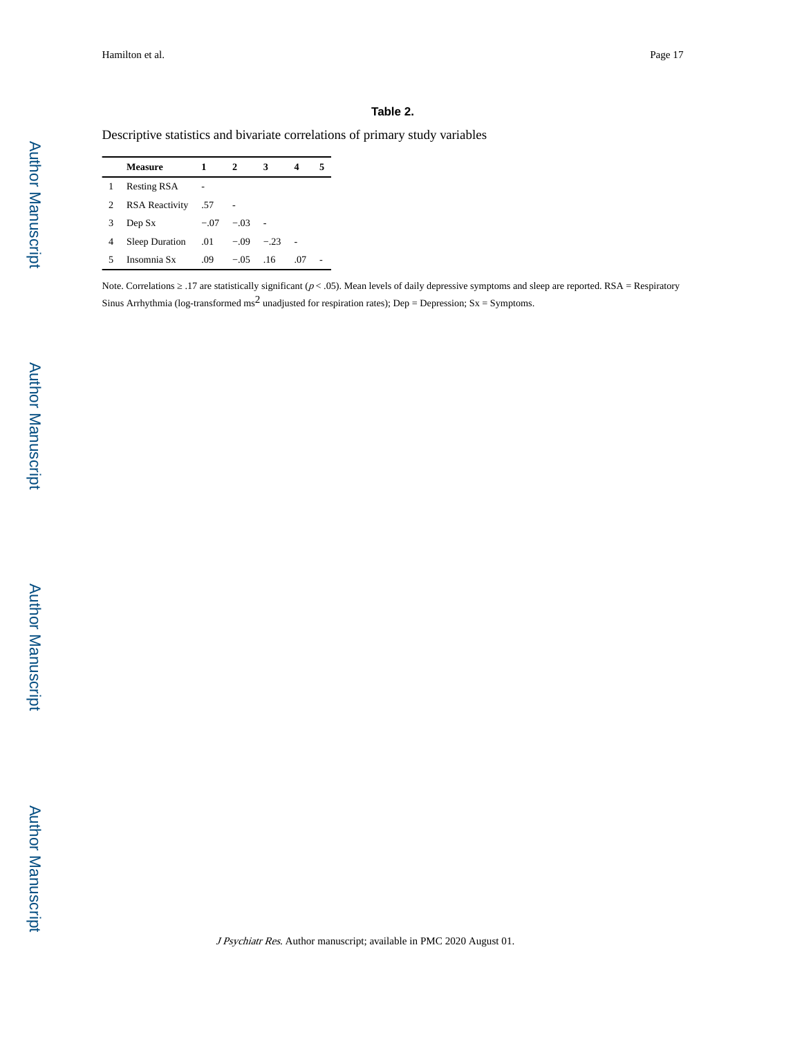#### **Table 2.**

Descriptive statistics and bivariate correlations of primary study variables

|   | <b>Measure</b>        | 1      | 2          | 3      | 5 |
|---|-----------------------|--------|------------|--------|---|
|   | <b>Resting RSA</b>    |        |            |        |   |
| 2 | <b>RSA</b> Reactivity | .57    |            |        |   |
| 3 | Dep Sx                | $-.07$ | $-.03 - -$ |        |   |
| 4 | <b>Sleep Duration</b> | .01    | $-.09$     | $-.23$ |   |
|   | Insomnia Sx           | .09    | $-.05$     | .16    |   |

Note. Correlations  $17$  are statistically significant ( $p < .05$ ). Mean levels of daily depressive symptoms and sleep are reported. RSA = Respiratory Sinus Arrhythmia (log-transformed  $ms^2$  unadjusted for respiration rates); Dep = Depression; Sx = Symptoms.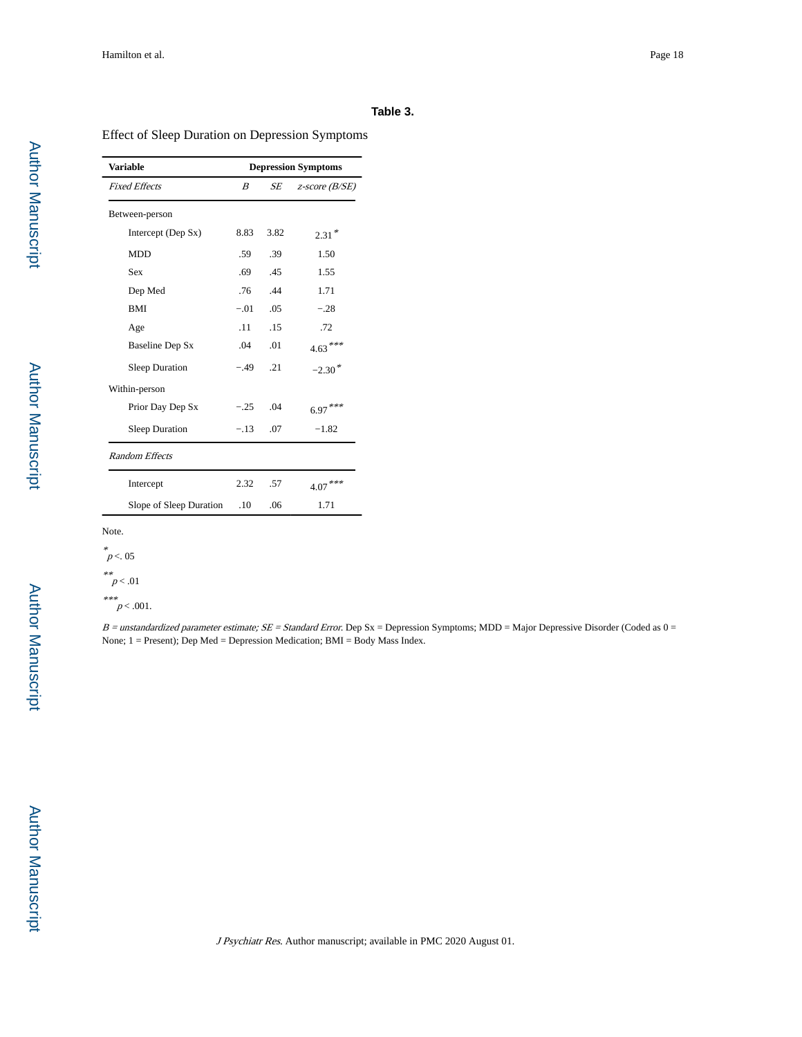#### **Table 3.**

Effect of Sleep Duration on Depression Symptoms

| <b>Variable</b>         | <b>Depression Symptoms</b> |      |                          |  |  |  |
|-------------------------|----------------------------|------|--------------------------|--|--|--|
| <b>Fixed Effects</b>    | B                          | SE   | <i>z</i> -score $(B/SE)$ |  |  |  |
| Between-person          |                            |      |                          |  |  |  |
| Intercept (Dep Sx)      | 8.83                       | 3.82 | $2.31*$                  |  |  |  |
| <b>MDD</b>              | .59                        | .39  | 1.50                     |  |  |  |
| Sex                     | .69                        | .45  | 1.55                     |  |  |  |
| Dep Med                 | .76                        | .44  | 1.71                     |  |  |  |
| <b>BMI</b>              | $-.01$                     | .05  | $-.28$                   |  |  |  |
| Age                     | .11                        | .15  | .72                      |  |  |  |
| <b>Baseline Dep Sx</b>  | .04                        | .01  | $4.63***$                |  |  |  |
| <b>Sleep Duration</b>   | $-.49$                     | .21  | $-2.30*$                 |  |  |  |
| Within-person           |                            |      |                          |  |  |  |
| Prior Day Dep Sx        | $-.25$                     | .04  | $6.97***$                |  |  |  |
| <b>Sleep Duration</b>   | $-.13$                     | .07  | $-1.82$                  |  |  |  |
| <b>Random Effects</b>   |                            |      |                          |  |  |  |
| Intercept               | 2.32                       | .57  | $4.07***$                |  |  |  |
| Slope of Sleep Duration | .10                        | .06  | 1.71                     |  |  |  |

Note.

 $p<sub>05</sub>$ 

\*\*<br> $p < .01$ 

\*\*\* $p < .001$ .

 $B =$  unstandardized parameter estimate;  $SE =$  Standard Error. Dep Sx = Depression Symptoms; MDD = Major Depressive Disorder (Coded as 0 = None; 1 = Present); Dep Med = Depression Medication; BMI = Body Mass Index.

Author Manuscript

Author Manuscript